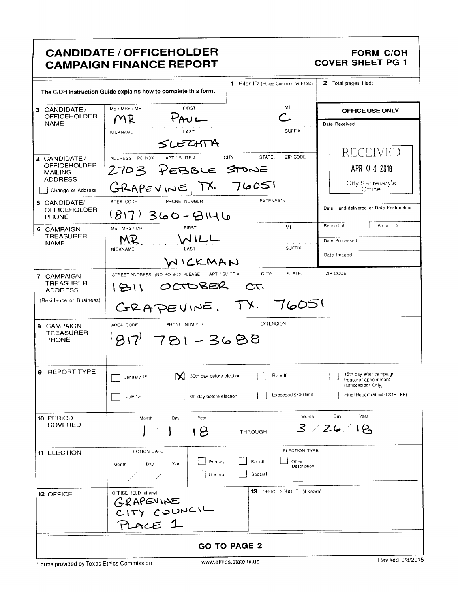|                                                                                                                                                                                                                                                                                                                          | <b>CANDIDATE / OFFICEHOLDER</b><br><b>CAMPAIGN FINANCE REPORT</b>                                                                                                                                                                                                                                                                                                                                            |                                                                                                                       | <b>FORM C/OH</b><br><b>COVER SHEET PG 1</b>                                                                                                                             |  |  |  |  |
|--------------------------------------------------------------------------------------------------------------------------------------------------------------------------------------------------------------------------------------------------------------------------------------------------------------------------|--------------------------------------------------------------------------------------------------------------------------------------------------------------------------------------------------------------------------------------------------------------------------------------------------------------------------------------------------------------------------------------------------------------|-----------------------------------------------------------------------------------------------------------------------|-------------------------------------------------------------------------------------------------------------------------------------------------------------------------|--|--|--|--|
|                                                                                                                                                                                                                                                                                                                          | The C/OH Instruction Guide explains how to complete this form.                                                                                                                                                                                                                                                                                                                                               | 1 Filer ID (Ethics Commission Filers)                                                                                 | 2 Total pages filed:                                                                                                                                                    |  |  |  |  |
| 3 CANDIDATE/<br><b>OFFICEHOLDER</b><br><b>NAME</b>                                                                                                                                                                                                                                                                       | <b>FIRST</b><br>MS / MRS / MR<br>$P_{\mathsf{A}U}$<br>MR                                                                                                                                                                                                                                                                                                                                                     | MI                                                                                                                    | OFFICE USE ONLY<br>Date Received                                                                                                                                        |  |  |  |  |
| 4 CANDIDATE /<br>OFFICEHOLDER<br><b>MAILING</b><br><b>ADDRESS</b><br>Change of Address<br>5 CANDIDATE/<br><b>OFFICEHOLDER</b><br><b>PHONE</b><br>6 CAMPAIGN<br><b>TREASURER</b><br><b>NAME</b><br>7 CAMPAIGN<br><b>TREASURER</b><br><b>ADDRESS</b><br>(Residence or Business)<br>8 CAMPAIGN<br>TREASURER<br><b>PHONE</b> | LAST<br><b>NICKNAME</b><br>SLECHTA<br>CITY.<br>APT ' SUITE #.<br>ADDRESS PO BOX.<br>2703 PEBBLE STONE<br>GRAPEVINE, TX. 76051<br>PHONE NUMBER<br>AREA CODE<br>$(817)360 - 8146$<br><b>FIRST</b><br>MS MRS / MR<br>WILL<br>LAST<br><b>NICKNAME</b><br>WICKMAN<br>STREET ADDRESS (NO PO BOX PLEASE) APT / SUITE #.<br>1811 OCTOBER CT.<br>GRAPEVINE, TX. 76051<br>PHONE NUMBER<br>AREA CODE<br>$977781 - 3688$ | <b>SUFFIX</b><br>ZIP CODE<br>STATE,<br><b>EXTENSION</b><br>MI<br><b>SUFFIX</b><br>STATE.<br>CITY:<br><b>EXTENSION</b> | RECEIVED<br>APR 0 4 2018<br>City Secretary's<br>Office<br>Date Hand-delivered or Date Postmarked<br>Amount \$<br>Receipt #<br>Date Processed<br>Date Imaged<br>ZIP CODE |  |  |  |  |
| 9 REPORT TYPE                                                                                                                                                                                                                                                                                                            | 30th day before election<br>$\Box$ January 15<br>8th day before election<br>July 15                                                                                                                                                                                                                                                                                                                          | Runoff<br>Exceeded \$500 limit                                                                                        | 15th day after campaign<br>treasurer appointment<br>(Officeholder Only)<br>Final Report (Attach C/OH - FR)                                                              |  |  |  |  |
| 10 PERIOD<br><b>COVERED</b>                                                                                                                                                                                                                                                                                              | Year<br>Month<br>Day<br>18                                                                                                                                                                                                                                                                                                                                                                                   | Month<br><b>THROUGH</b>                                                                                               | Year<br>Day<br>3/26/18                                                                                                                                                  |  |  |  |  |
| 11 ELECTION                                                                                                                                                                                                                                                                                                              | ELECTION DATE<br>Primary<br>Day<br>Year<br>Month<br>General                                                                                                                                                                                                                                                                                                                                                  | ELECTION TYPE<br>Runoff<br>Other<br>Description<br>Special                                                            |                                                                                                                                                                         |  |  |  |  |
| 12 OFFICE                                                                                                                                                                                                                                                                                                                | OFFICE HELD (if any)<br>GRAPEVINE<br>CITY COUNCIL<br>PLACE 1                                                                                                                                                                                                                                                                                                                                                 | 13 OFFICE SOUGHT (if known)                                                                                           |                                                                                                                                                                         |  |  |  |  |
| <b>GO TO PAGE 2</b>                                                                                                                                                                                                                                                                                                      |                                                                                                                                                                                                                                                                                                                                                                                                              |                                                                                                                       |                                                                                                                                                                         |  |  |  |  |

٦